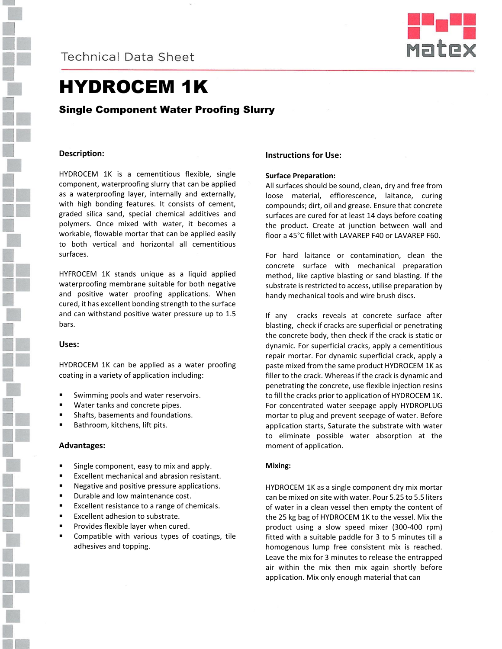



# HYDROCEM 1K

## Single Component Water Proofing Slurry

#### **Description:**

HYDROCEM 1K is a cementitious flexible, single component, waterproofing slurry that can be applied as a waterproofing layer, internally and externally, with high bonding features. It consists of cement, graded silica sand, special chemical additives and polymers. Once mixed with water, it becomes a workable, flowable mortar that can be applied easily to both vertical and horizontal all cementitious surfaces.

HYFROCEM 1K stands unique as a liquid applied waterproofing membrane suitable for both negative and positive water proofing applications. When cured, it has excellent bonding strength to the surface and can withstand positive water pressure up to 1.5 bars.

#### **Uses:**

HYDROCEM 1K can be applied as a water proofing coating in a variety of application including:

- Swimming pools and water reservoirs.
- Water tanks and concrete pipes.
- Shafts, basements and foundations.
- Bathroom, kitchens, lift pits.

#### **Advantages:**

- Single component, easy to mix and apply.
- **Excellent mechanical and abrasion resistant.**
- **Negative and positive pressure applications.**
- Durable and low maintenance cost.
- **Excellent resistance to a range of chemicals.**
- Excellent adhesion to substrate.
- **Provides flexible layer when cured.**
- **EX Compatible with various types of coatings, tile** adhesives and topping.

#### **Instructions for Use:**

#### **Surface Preparation:**

All surfaces should be sound, clean, dry and free from loose material, efflorescence, laitance, curing compounds; dirt, oil and grease. Ensure that concrete surfaces are cured for at least 14 days before coating the product. Create at junction between wall and floor a 45°C fillet with LAVAREP F40 or LAVAREP F60.

For hard laitance or contamination, clean the concrete surface with mechanical preparation method, like captive blasting or sand blasting. If the substrate is restricted to access, utilise preparation by handy mechanical tools and wire brush discs.

If any cracks reveals at concrete surface after blasting, check if cracks are superficial or penetrating the concrete body, then check if the crack is static or dynamic. For superficial cracks, apply a cementitious repair mortar. For dynamic superficial crack, apply a paste mixed from the same product HYDROCEM 1K as filler to the crack. Whereas if the crack is dynamic and penetrating the concrete, use flexible injection resins to fill the cracks prior to application of HYDROCEM 1K. For concentrated water seepage apply HYDROPLUG mortar to plug and prevent seepage of water. Before application starts, Saturate the substrate with water to eliminate possible water absorption at the moment of application.

#### **Mixing:**

HYDROCEM 1K as a single component dry mix mortar can be mixed on site with water. Pour 5.25 to 5.5 liters of water in a clean vessel then empty the content of the 25 kg bag of HYDROCEM 1K to the vessel. Mix the product using a slow speed mixer (300-400 rpm) fitted with a suitable paddle for 3 to 5 minutes till a homogenous lump free consistent mix is reached. Leave the mix for 3 minutes to release the entrapped air within the mix then mix again shortly before application. Mix only enough material that can